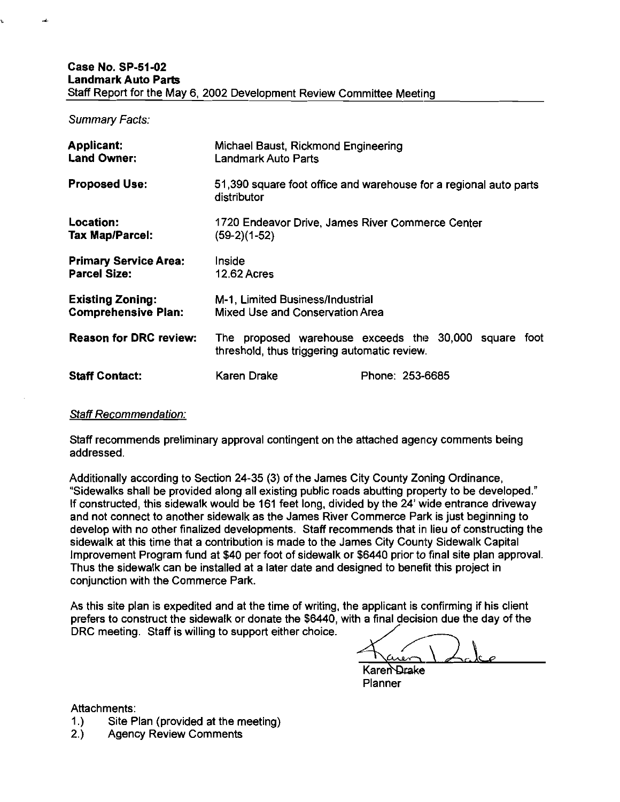#### Case No. SP-51-02 Landmark Auto Parts Staff Report for the May 6, 2002 Development Review Committee Meeting

Summary Facts:

| <b>Applicant:</b><br><b>Land Owner:</b>               | Michael Baust, Rickmond Engineering<br>Landmark Auto Parts                       |                                                      |
|-------------------------------------------------------|----------------------------------------------------------------------------------|------------------------------------------------------|
| <b>Proposed Use:</b>                                  | 51,390 square foot office and warehouse for a regional auto parts<br>distributor |                                                      |
| <b>Location:</b><br>Tax Map/Parcel:                   | 1720 Endeavor Drive, James River Commerce Center<br>$(59-2)(1-52)$               |                                                      |
| <b>Primary Service Area:</b><br><b>Parcel Size:</b>   | Inside<br><b>12.62 Acres</b>                                                     |                                                      |
| <b>Existing Zoning:</b><br><b>Comprehensive Plan:</b> | M-1. Limited Business/Industrial<br>Mixed Use and Conservation Area              |                                                      |
| <b>Reason for DRC review:</b>                         | The<br>threshold, thus triggering automatic review.                              | proposed warehouse exceeds the 30,000 square<br>foot |
| <b>Staff Contact:</b>                                 | Karen Drake                                                                      | Phone: 253-6685                                      |

#### Staff Recommendation:

Staff recommends preliminary approval contingent on the attached agency comments being addressed.

Additionally according to Section 24-35 (3) of the James City County Zoning Ordinance, "Sidewalks shall be provided along all existing public roads abutting property to be developed." If constructed, this sidewalk would be 161 feet long, divided by the 24' wide entrance driveway and not connect to another sidewalk as the James River Commerce Park is just beginning to develop with no other finalized developments. Staff recommends that in lieu of constructing the sidewalk at this time that a contribution is made to the James City County Sidewalk Capital Improvement Program fund at \$40 per foot of sidewalk or \$6440 prior to final site plan approval. Thus the sidewalk can be installed at a later date and designed to benefit this project in conjunction with the Commerce Park.

As this site plan is expedited and at the time of writing, the applicant is confirming if his client prefers to construct the sidewalk or donate the \$6440, with a final decision due the day of the conjunction with the Commerce Park.<br>As this site plan is expedited and at the time of writing, the applicant is confirming if his client<br>prefers to construct the sidewalk or donate the \$6440, with a final decision due the

Attachments:

- 1.) Site Plan (provided at the meeting)<br>2.) Agency Review Comments
- **Agency Review Comments**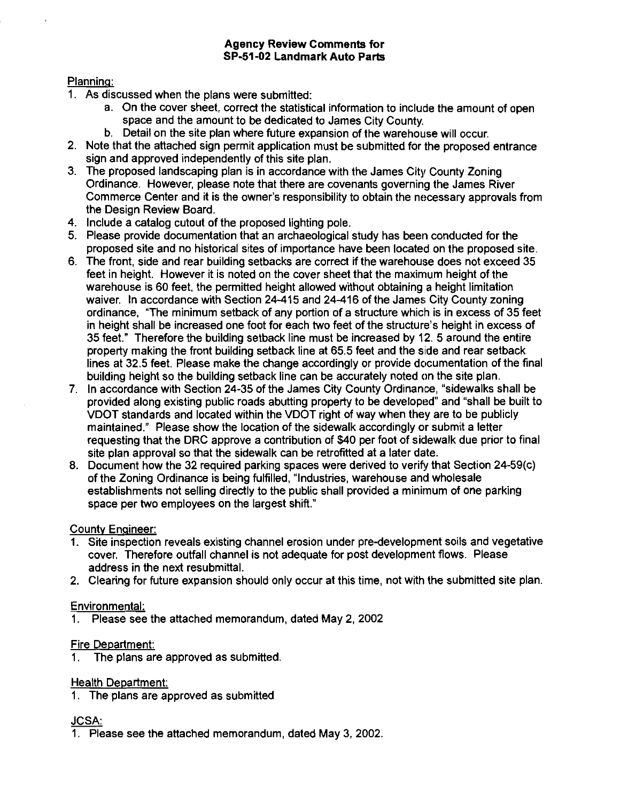### Agency Review Comments for SP-51-02 Landmark Auto Parts

### Plannina:

- **1.** As discussed when the plans were submitted:
	- a. On the cover sheet, correct the statistical information to inclulde the amount of open space and the amount to be dedicated to James City County.
	- b. Detail on the site plan where future expansion of the warehouse will occur.
- **2.** Note that the attached sign permit application must be submitted for the proposed entrance sign and approved independently of this site plan.
- **3.** The proposed landscaping plan is in accordance with the James City County Zoning Ordinance. However, please note that there are covenants governing the James River Commerce Center and it is the owner's responsibility to obtain the necessary approvals from the Design Review Board.
- **4.** Include a catalog cutout of the proposed lighting pole.
- **5.** Please provide documentation that an archaeological study has been conducted for the proposed site and no historical sites of importance have been located on the proposed site.
- **6.** The front, side and rear building setbacks are correct if the warehouse does not exceed **35**  feet in height. However it is noted on the cover sheet that the maximum height of the warehouse is **60** feet, the permitted height allowed without obtaining a height limitation waiver. In accordance with Section **24-415** and **24-416** of the James; City County zoning ordinance. "The minimum setback of any portion of a structure which is in excess of **35** feet in height shall be increased one foot for each two feet of the structure's height in excess of **35** feet." Therefore the building setback line must be increased by **12. 5** around the entire property making the front building setback line at **65.5** feet and the side and rear setback lines at **32.5** feet. Please make the change accordingly or provide documentation of the final building height so the building setback line can be accurately noted on the site plan.
- 7. In accordance with Section 24-35 of the James City County Ordinance, "sidewalks shall be provided along existing public roads abutting property to be developed" and "shall be built to VDOT standards and located within the VDOT right of way when they are to be publicly maintained." Please show the location of the sidewalk accordingly or submit a letter requesting that the DRC approve a contribution of **\$40** per foot of sidewalk due prior to final site plan approval so that the sidewalk can be retrofitted at a later date.
- 8. Document how the **32** required parking spaces were derived to verify that Section **24-59(c)**  of the Zoning Ordinance is being fulfilled, "Industries, warehouse and wholesale establishments not selling directly to the public shall provided a minirnum of one parking space per two employees on the largest shift."

## **County Engineer:**

- **1.** Site inspection reveals existing channel erosion under pre-development soils and vegetative cover. Therefore outfall channel is not adequate for post development flows. Please address in the next resubmittal.
- **2.** Clearing for future expansion should only occur at this time, not with the submitted site plan.

## Environmental:

**1.** Please see the attached memorandum, dated May **2,2002** 

## Fire Department:

**1.** The plans are approved as submitted.

## Health Department:

**1.** The plans are approved as submitted

#### **JCSA:**

**1.** Please see the attached memorandum, dated May **3,2002.**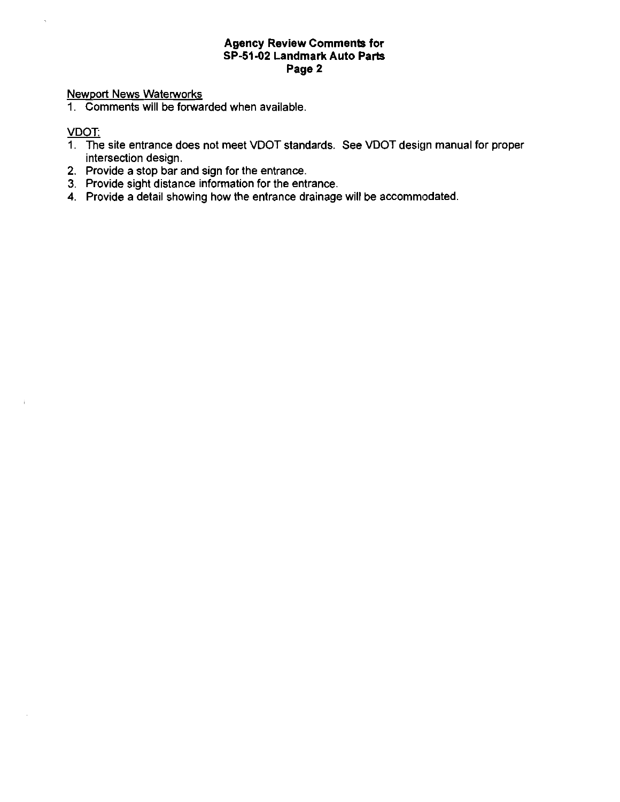### Agency Review Comments for SP-51-02 Landmark Auto Parts Page 2

## Newport News Waterworks

1. Comments will be forwarded when available.

### VDOT:

 $\ddot{\phantom{a}}$ 

 $\hat{L}$ 

- 1. The site entrance does not meet VDOT standards. See VDOT design manual for proper intersection design.
- 2. Provide a stop bar and sign for the entrance.
- 3. Provide sight distance information for the entrance.
- 4. Provide a detail showing how the entrance drainage will be accommodated.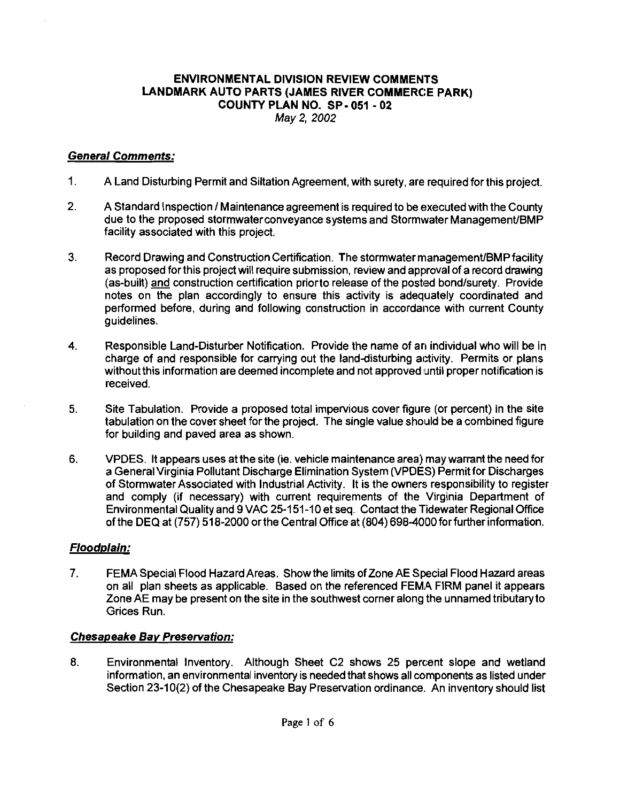### ENVIRONMENTAL DIVISION REVIEW COMMENTS LANDMARK AUTO PARTS (JAMES RIVER COMMERCE PARK) COUNTY PLAN NO. SP- 051 - 02 **May** 2, 2002

## **General Comments:**

- 1. A Land Disturbing Permit and Siltation Agreement, with surety, are required for this project.
- 2. A Standard Inspection / Maintenance agreement is required to be executed with the County due to the proposed stormwater conveyance systems and Stormwater Management/BMP facility associated with this project.
- **3.** Record Drawing and Construction Certification. The stormwater managemenVBMPfacility as proposed for this project will require submission, review and approval of a record drawing (as-built) and construction certification prior to release of the posted bond/surety. Provide notes on the plan accordingly to ensure this activity is adequately coordinated and performed before, during and following construction in accordance with current County guidelines.
- 4. Responsible Land-Disturber Notification. Provide the name of an individual who will be in charge of and responsible for carrying out the land-disturbing activity. Permits or plans without this information are deemed incomplete and not approved until proper notification is received.
- 5. Site Tabulation. Provide a proposed total impervious cover figure (or percent) in the site tabulation on the cover sheet for the project. The single value should be a combined figure for building and paved area as shown.
- 6. VPDES. It appears uses at the site (ie. vehicle maintenance area) may warrant the need for a General Virginia Pollutant Discharge Elimination System (VPDES) Permit for Discharges of Stormwater Associated with Industrial Activity. It is the owners responsibility to register<br>and comply (if necessary) with current requirements of the Virginia Department of Environmental Quality and 9 VAC 25-151-10 et seq. Contact the Tidewater Regional Office of the DEQ at (757) 518-2000 or the Central Office at (804) 698-4000 for further information.

# **Floodplain:**

7. FEMA Special Flood Hazard Areas. Show the limits of Zone AE Special Flood Hazard areas on all plan sheets as applicable. Based on the referenced FEMA FIRM panel it appears Zone AE may be present on the site in the southwest corner along the unnamed tributaryto Grices Run.

## **Chesapeake Bav Preservation:**

**8.** Environmental Inventory. Although Sheet C2 shows 25 percent slope and wetland information, an environmental inventory is needed that shows all components as listed under Section 23-10(2) of the Chesapeake Bay Preservation ordinance. An inventory should list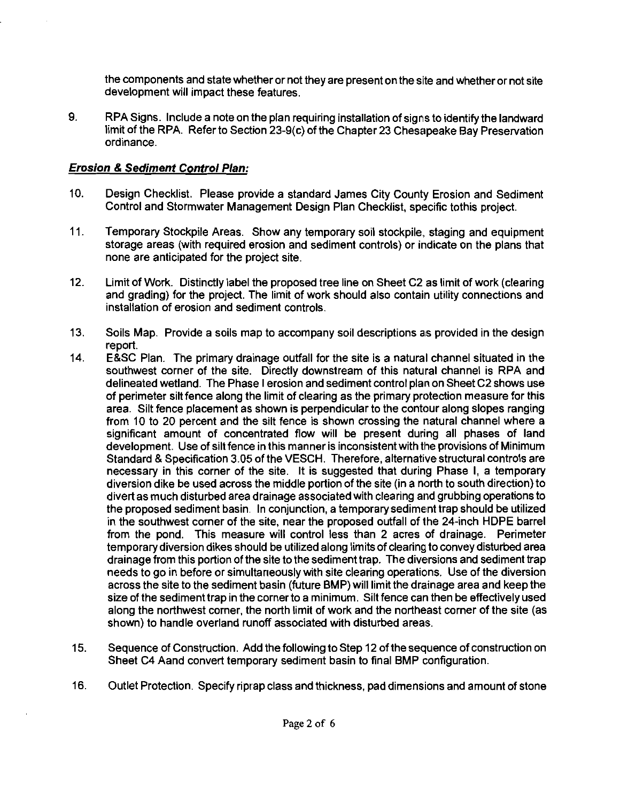the components and state whether or not they are present on the site and whether or not site development will impact these features.

9. RPA Signs. Include a note on the plan requiring installation of signs to identify the landward limit of the RPA. Refer to Section 23-9(c) of the Chapter 23 Chesapeake Bay Preservation ordinance.

# **Erosion** *8* **Sediment Control Plan:**

- 10. Design Checklist. Please provide a standard James City County Erosion and Sediment Control and Stormwater Management Design Plan Checklist, specific tothis project.
- 11. Temporary Stockpile Areas. Show any temporary soil stockpile, staging and equipment storage areas (with required erosion and sediment controls) or iridicate on the plans that none are anticipated for the project site.
- 12. Limit of Work. Distinctly label the proposed tree line on Sheet C2 as limit of work (clearing and grading) for the project. The limit of work should also contain utility connections and installation of erosion and sediment controls.
- 13. Soils Map. Provide a soils map to accompany soil descriptions as provided in the design report.
- 14. E&SC Plan. The primary drainage outfall for the site is a natural channel situated in the southwest corner of the site. Directly downstream of this natural channel is RPA and delineated wetland. The Phase I erosion and sediment control plan on Sheet C2 shows use of perimeter silt fence along the limit of clearing as the primary protection measure for this area. Silt fence placement as shown is perpendicular to the contour along slopes ranging from 10 to 20 percent and the silt fence is shown crossing the natural channel where a significant amount of concentrated flow will be present during all phases of land development. Use of silt fence in this manner is inconsistent with the provisions of Minimum Standard **8** Specification 3.05 of the VESCH. Therefore, alternative structural controls are necessary in this corner of the site. It is suggested that during Phase I, a temporary diversion dike be used across the middle portion of the site (in a north to south direction) to divert as much disturbed area drainage associated with clearing and grubbing operations to the proposed sediment basin. In conjunction, a temporary sediment trap should be utilized in the southwest corner of the site, near the proposed outfall of the 24-inch HDPE barrel from the pond. This measure will control less than 2 acres of drainage. Perimeter temporary diversion dikes should be utilized along limits of clearing to convey disturbed area drainage from this portion of the site to the sediment trap. The diversions and sediment trap needs to go in before or simultaneously with site clearing operations. Use of the diversion across the site to the sediment basin (future BMP) will limit the drainage area and keep the size of the sediment trap in the corner to a minimum. Silt fence can then be effectively used along the northwest corner, the north limit of work and the northeast corner of the site (as shown) to handle overland runoff associated with disturbed areas.
- 15. Sequence of Construction. Add the following to Step 12 of the sequence of construction on Sheet C4 Aand convert temporary sediment basin to final BMP configuration.
- 16. Outlet Protection. Specify riprap class and thickness, pad dimensions and amount of stone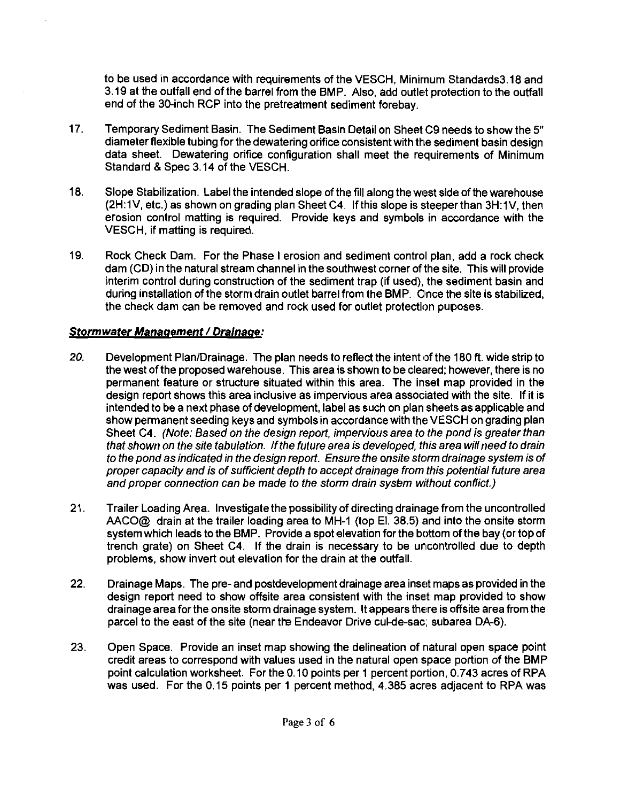to be used in accordance with requirements of the VESCH. Minirnum Standards3.18 and  $3.19$  at the outfall end of the barrel from the BMP. Also, add outlet protection to the outfall  $\sim$ end of the 30-inch RCP into the pretreatment sediment forebay.

- 17. Temporary Sediment Basin. 'The Sediment Basin Detail on Sheet C9 needs to show the 5" diameter flexible tubing for the dewatering orifice consistent with the sediment basin design data sheet. Dewatering orifice configuration shall meet the requirements of Minimum Standard & Spec 3.14 of the VESCH.
- 18. Slope Stabilization. Label the intended slope of the fill along the west side of the warehouse (2H:1V, etc.) as shown on grading plan Sheet C4. If this slope is steeper than 3H:1V, then erosion control matting is required. Provide keys and symbols in accordance with the VESCH, if matting is required.
- 19. Rock Check Dam. For the Phase I erosion and sediment control plan, add a rock check dam (CD) in the natural stream channel in the southwest corner of the site. This will provide interim control during construction of the sediment trap (if used), the sediment basin and during installation of the storm drain outlet barrel from the BMP. Once the site is stabilized, the check dam can be removed and rock used for outlet protection puposes.

# **Stormwater Manaqement** / **Drainage:**

- **20.** Development PlanlDrainage. The plan needs to reflect the intent of the 180 **R.** wide strip to the west of the proposed warehouse. This area is shown to be cleared; however, there is no permanent feature or structure situated within this area. The inset map provided in the design report shows this area inclusive as impervious area associated with the site. If it is intended to be a next phase of development, label as such on plan sheets as applicable and show permanent seeding keys and symbols in accordance with the VESCH on grading plan Sheet C4. (Note: Based on the design report, impervious area to the pond is greater than that shown on the site tabulation. If the future area is developed, this area will need to drain to the pond as indicated in the design report. Ensure the onsite storm drainage system is of proper capacity and is of sufficient depth to accept drainage from this potential future area and proper connection can be made to the storm drain sysem without conflict.)
- 21. Trailer Loading Area. Investigate the possibility of directing drainage from the uncontrolled AACO@ drain at the trailer loading area to MH-1 (top El. 38.5) and into the onsite storm system which leads to the BMP. Provide a spot elevation for the bottom of the bay (ortopof trench grate) on Sheet C4. If the drain is necessary to be uncontrolled due to depth problems, show invert out elevation for the drain at the outfall.
- 22. Drainage Maps. The pre- and postdevelopment drainage area inset maps as provided in the design report need to show offsite area consistent with the inset map provided to show drainage area for the onsite storm drainage system. It appears there is offsite area from the parcel to the east of the site (near the Endeavor Drive cul-de-sac; subarea DA-6).
- 23. Open Space. Provide an inset map showing the delineation of natural open space point credit areas to correspond with values used in the natural open space portion of the BMP point calculation worksheet. For the 0.10 points per 1 percent portion, 0.743 acres of RPA was used. For the 0.15 points per 1 percent method, 4.385 acres adjacent to RPA was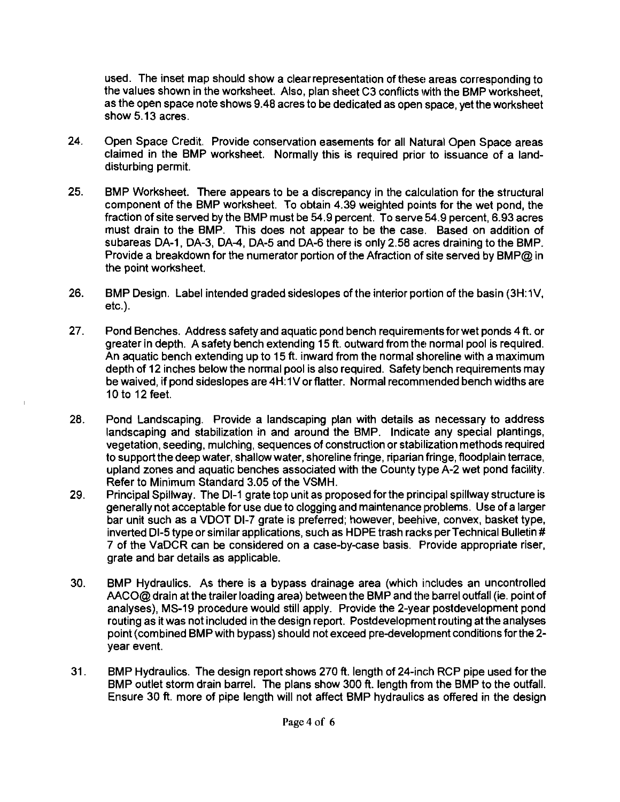used. The inset map should show a clearrepresentation of these areas corresponding to the values shown in the worksheet. Also, plan sheet C3 conflicts with the BMP worksheet. as the open space note shows 9.48 acres to be dedicated as open space, yet the worksheet show 5.13 acres.

- $24.$ Open Space Credit. Provide conservation easements for all Natural Open Space areas claimed in the BMP worksheet. Normally this is required prior to issuance of a landdisturbing permit.
- 25. BMP Worksheet. There appears to be a discrepancy in the calculation for the structural component of the BMP worksheet. To obtain 4.39 weighted points for the wet pond, the fraction of site served by the BMP must be 54.9 percent. To serve 54.9 percent, 6.93 acres must drain to the BMP. This does not appear to be the case. Based on addition of subareas DA-1, DA-3, DA4, DA-5 and DA-6 there is only 2.58 acres draining to the BMP. Provide a breakdown for the numerator portion of the Afraction of site served by BMP@ in the point worksheet.
- 26. BMP Design. Label intended graded sideslopes of the interior portion of the basin (3H:1V, etc.).
- $27<sub>1</sub>$ Pond Benches. Address safety and aquatic pond bench requirements for wet ponds 4 ft. or greater in depth. A safety bench extending 15 ft. outward from the normal pool is required. An aquatic bench extending up to 15 ft. inward from the normal shoreline with a maximum depth of 12 inches below the normal pool is also required. Safety bench requirements may be waived, if pond sideslopes are 4H:1V or flatter. Normal recommended bench widths are 10 to 12 feet.
- 28. Pond Landscaping. Provide a landscaping plan with details as necessary to address landscaping and stabilization in and around the BMP. Indicate any special plantings, vegetation, seeding, mulching, sequences of construction or stabilization methods required to support the deep water, shallow water, shoreline fringe, riparian fringe, floodplain terrace, upland zones and aquatic benches associated with the County type A-2 wet pond facility. Refer to Minimum Standard 3.05 of the VSMH.
- 29. Principal Spillway. The Dl-I grate top unit as proposed for the principal spillway structure is generally not acceptable for use due to clogging and maintenance problems. Use of a larger bar unit such as a VDOT DI-7 grate is preferred; however, beehive, convex, basket type, inverted DI-5 type or similar applications, such as HDPE trash racks per Technical Bulletin # 7 of the VaDCR can be considered on a case-by-case basis. Provide appropriate riser, grate and bar details as applicable.
- 30. BMP Hydraulics. As there is a bypass drainage area (which includes an uncontrolled AACO@ drain at the trailer loading area) between the BMP and the barrel outfall (ie. point of analyses), MS-19 procedure would still apply. Provide the 2-year postdevelopment pond routing as it was not included in the design report. Postdevelopment routing at the analyses point (combined BMP with bypass) should not exceed pre-development conditions for the 2year event.
- $31.$ BMP Hydraulics. The design report shows 270 **ft.** length of 24-inch RCP pipe used for the BMP outlet storm drain barrel. The plans show 300 **ft.** length from the BMP to the outfall. Ensure 30 ft. more of pipe length will not affect BMP hydraulics as offered in the design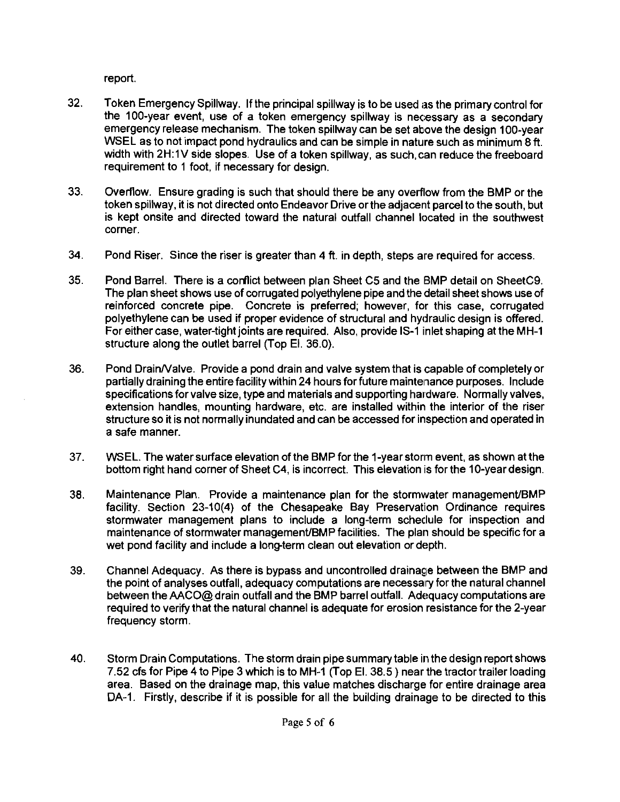report.

- 32. Token Emergency Spillway. If the principal spillway is to be used ias the primary control for the 100-year event, use of a token emergency spillway is necessary as a secondary emergency release mechanism. The token spillway can be set above the design 100-year WSEL as to not impact pond hydraulics and can be simple in nature such as minimum 8 ft. width with 2H:1V side slopes. Use of a token spillway, as such, can reduce the freeboard requirement to 1 foot, if necessary for design.
- 33. Overflow. Ensure grading is such that should there be any overflow from the BMP or the token spillway, it is not directed onto Endeavor Drive orthe adjacent parcel to the south, but is kept onsite and directed toward the natural outfall channel located in the southwest corner.
- 34. Pond Riser. Since the riser is greater than  $4$  ft. in depth, steps are required for access.
- 35. Pond Barrel. There is a cofiict between plan Sheet C5 and the BMP detail on SheetC9. The plan sheet shows use of corrugated polyethylene pipe and the detail sheet shows use of reinforced concrete pipe. Concrete is preferred; however, for this case, corrugated polyethylene can be used if proper evidence of structural and hydraulic design is offered. For either case, water-tight joints are required. Also, provide IS-I inlet shaping at the MH-1 structure along the outlet barrel (Top El. 36.0).
- 36. Pond DrainNalve. Provide a pond drain and valve system that is capable of completely or partially draining the entire facility within 24 hours for future maintenance purposes. Include specifications for valve size, type and materials and supporting hardware. Normally valves, extension handles, mounting hardware, etc. are installed within the interior of the riser structure so it is not normally inundated and can be accessed for inspection and operated in a safe manner.
- 37. WSEL. The water surface elevation of the BMP for the 1-year storm event, as shown at the bottom right hand corner of Sheet C4, is incorrect. This elevation is forthe 10-yeardesign.
- 38. Maintenance Plan. Provide a maintenance plan for the stormvvater managemenVBMP facility. Section 23-10(4) of the Chesapeake Bay Preservation Ordinance requires stormwater management plans to include a long-term scheclule for inspection and maintenance of stormwater managemenVBMP facilities. The plan should be specific for a wet pond facility and include a long-term clean out elevation or depth.
- 39. Channel Adequacy. As there is bypass and uncontrolled drainage between the BMP and the point of analyses outfall, adequacy computations are necessalry for the natural channel between the AACO@ drain outfall and the BMP barrel outfall. Adequacy computations are required to verify that the natural channel is adequate for erosion resistance for the 2-year frequency storm.
- 40. Storm Drain Computations. The storm drain pipe summary table in the design report shows 7.52 cfs for Pipe 4 to Pipe 3 which is to MH-1 (Top El. 38.5 ) near the tractortrailer loading area. Based on the drainage map, this value matches discharge for entire drainage area DA-1. Firstly, describe if it is possible for all the building drainage to be directed to this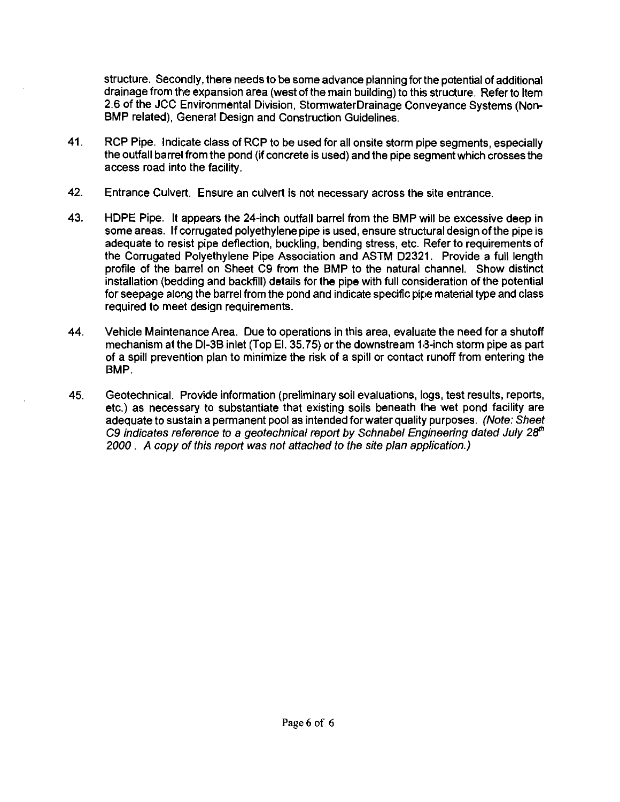structure. Secondly, there needs to be some advance planning for the potential of additional drainage from the expansion area (west of the main building) to this structure. Referto Item 2.6 of the JCC Environmental Division, StormwaterDrainage Conveyance Systems (Non-BMP related), General Design and Construction Guidelines.

- 41. RCP Pipe. Indicate class of KCP to be used for all onsite storm pipe segments, especially the outfall barrel from the pond (if concrete is used) and the pipe segment which crosses the access road into the facility.
- 42. Entrance Culvert. Ensure an culvert is not necessary across the site entrance.
- 43. HDPE Pipe. It appears the 24-inch outfall barrel from the BMP will be excessive deep in some areas. If corrugated polyethylene pipe is used, ensure structural design of the pipe is adequate to resist pipe deflection, buckling, bending stress, etc. Refer to requirements of the Corrugated Polyethylene Pipe Association and ASTM D2321. Provide a full length profile of the barrel on Sheet C9 from the BMP to the natural channel. Show distinct installation (bedding and backfill) details for the pipe with full consideration of the potential for seepage along the barrel from the pond and indicate specific pipe material type and class required to meet design requirements.
- 44. Vehicle Maintenance Area. Due to operations in this area, evaluate the need for a shutoff mechanism at the Dl-3B inlet (Top El. 35.75) or the downstream 113-inch storm pipe as part of a spill prevention plan to minimize the risk of a spill or contact runoff from entering the BMP.
- 45. Geotechnical. Provide information (preliminary soil evaluations, logs, test results, reports, etc.) as necessary to substantiate that existing soils beneath the wet pond facility are adequate to sustain a permanent pool as intended for water quality purposes. (Note: Sheet C9 indicates reference to a geotechnical report by Schnabel Engineering dated July 28<sup>th</sup> 2000 . **A** copy of this report was not attached to the site plan application.)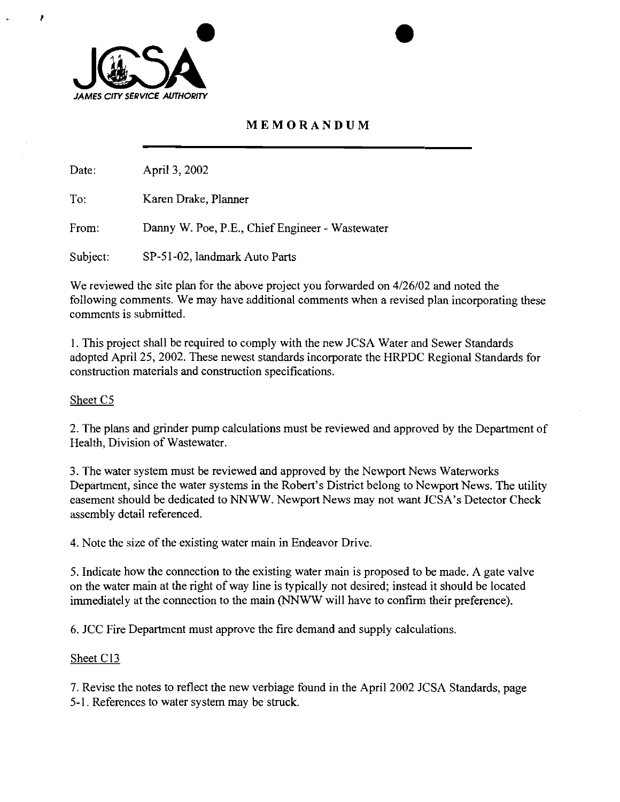

t

# **MEMORANDUM**

Date: April 3,2002

To: Karen Drake, Planner

From: Danny W. Poe, P.E., Chief Engineer - Wastewater

Subject: SP-51-02, landmark Auto Parts

We reviewed the site plan for the above project you forwarded on 4/26/02 and noted the following comments. We may have additional comments when a revised plan incorporating these comments is submitted.

1. This project shall be required to comply with the new JCSA Water and Sewer Standards adopted April 25,2002. These newest standards incorporate the HRPDC Regional Standards for construction materials and construction specifications.

### Sheet C5

2. The plans and grinder pump calculations must be reviewed and approved by the Department of Health. Division of Wastewater.

3. The water system must be reviewed and approved by the Newport News Waterworks Department, since the water systems in the Robert's District belong to Newport News. The utility easement should be dedicated to NNWW. Newport News may not want JCSA's Detector Check assembly detail referenced.

4. Note the size of the existing water main in Endeavor Drive.

5. Indicate how the connection to the existing water main is proposed to be made. A gate valve on the water main at the right of way line is typically not desired; instead it should be located immediately at the connection to the main (NNWW will have to confirm their preference).

6. JCC Fire Department must approve the fire demand and supply calculations.

## Sheet C13

7. Revise the notes to reflect the new verbiage found in the April 2002 JCSA Standards, page 5-1. References to water system may be struck.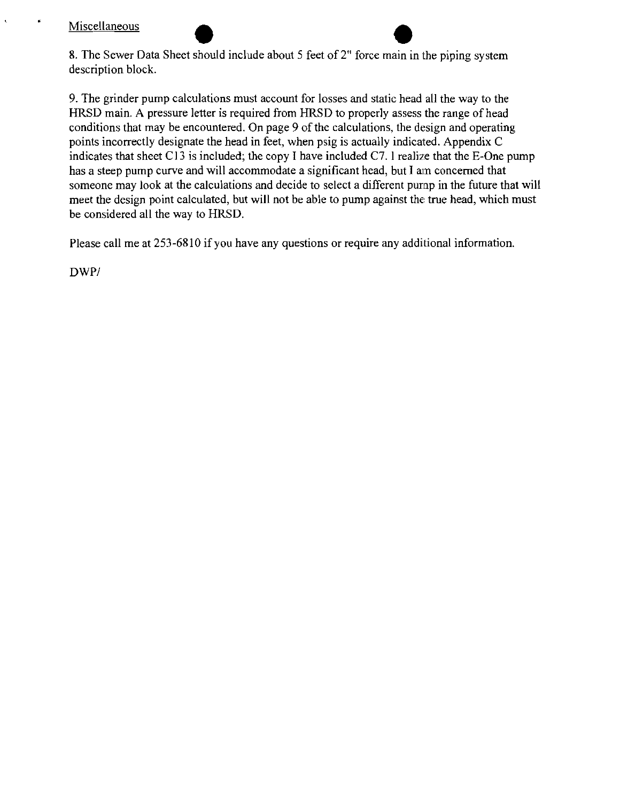## Miscellaneous

¥

8. The Sewer Data Sheet should include about 5 feet of 2" force main in the piping system description block.

9. The grinder pump calculations must account for losses and static head all the way to the HRSD main. **A** pressure letter is required from HRSD to properly assess the range of head conditions that may be encountered. On page 9 of the calculations, the design and operating points incorrectly designate the head in feet, when psig is actually indicated. Appendix C indicates that sheet C13 is included; the copy I have included C7. I realize that the E-One pump has a steep pump curve and will accommodate a significant head, but I **an** concerned that someone may look at the calculations and decide to select a different purnp in the future that will meet the design point calculated, but will not be able to pump against the true head, which must be considered all the way to HRSD.

Please call me at 253-6810 if you have any questions or require any additional information.

DWP/